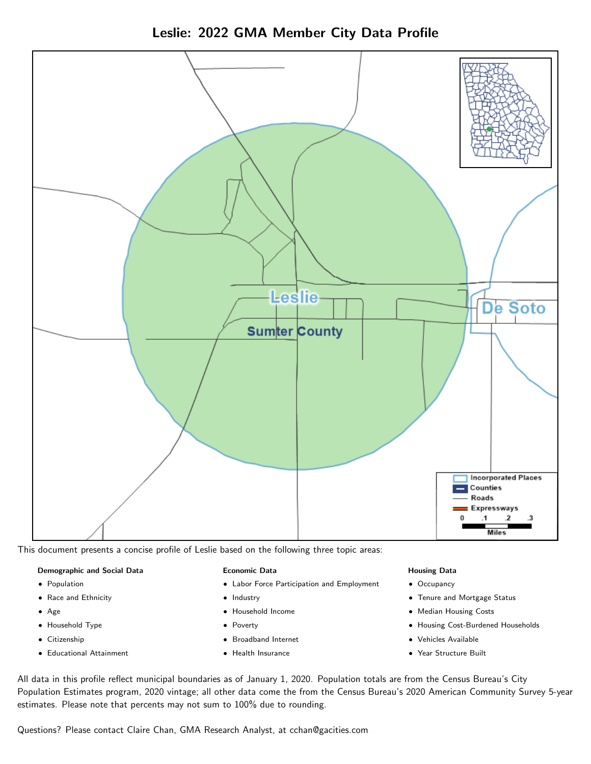Leslie: 2022 GMA Member City Data Profile



This document presents a concise profile of Leslie based on the following three topic areas:

#### Demographic and Social Data

- **•** Population
- Race and Ethnicity
- Age
- Household Type
- **Citizenship**
- Educational Attainment

#### Economic Data

- Labor Force Participation and Employment
- Industry
- Household Income
- Poverty
- Broadband Internet
- Health Insurance

#### Housing Data

- Occupancy
- Tenure and Mortgage Status
- Median Housing Costs
- Housing Cost-Burdened Households
- Vehicles Available
- Year Structure Built

All data in this profile reflect municipal boundaries as of January 1, 2020. Population totals are from the Census Bureau's City Population Estimates program, 2020 vintage; all other data come the from the Census Bureau's 2020 American Community Survey 5-year estimates. Please note that percents may not sum to 100% due to rounding.

Questions? Please contact Claire Chan, GMA Research Analyst, at [cchan@gacities.com.](mailto:cchan@gacities.com)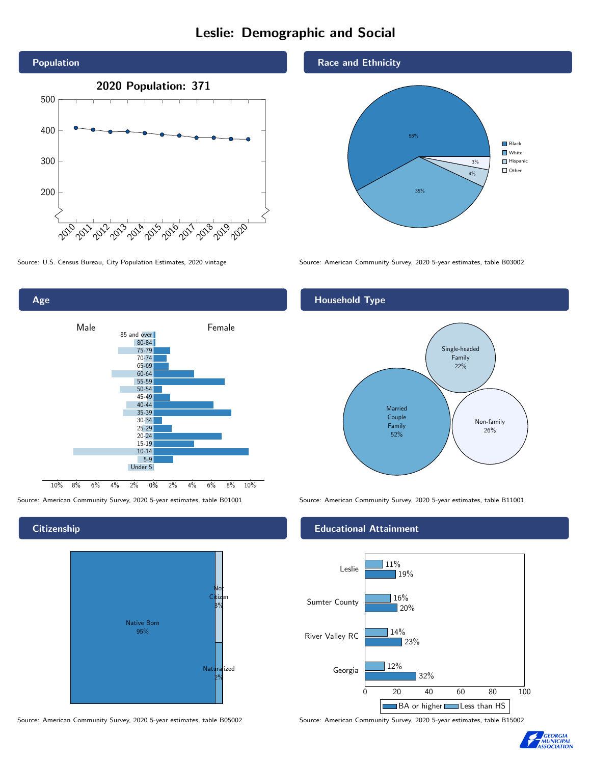# Leslie: Demographic and Social





#### **Citizenship**



Source: American Community Survey, 2020 5-year estimates, table B05002 Source: American Community Survey, 2020 5-year estimates, table B15002

#### Race and Ethnicity



Source: U.S. Census Bureau, City Population Estimates, 2020 vintage Source: American Community Survey, 2020 5-year estimates, table B03002

#### Household Type



Source: American Community Survey, 2020 5-year estimates, table B01001 Source: American Community Survey, 2020 5-year estimates, table B11001

#### Educational Attainment



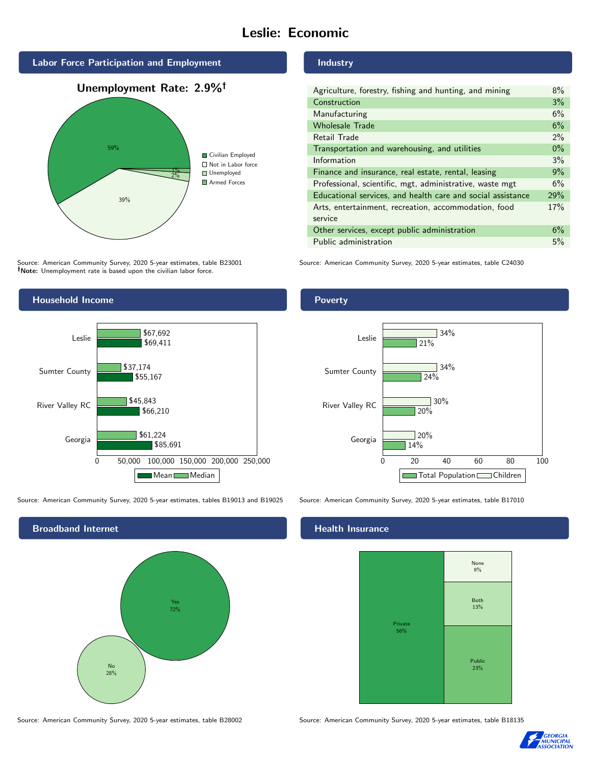# Leslie: Economic







Source: American Community Survey, 2020 5-year estimates, table B23001 Note: Unemployment rate is based upon the civilian labor force.

#### Industry

| Agriculture, forestry, fishing and hunting, and mining      | $8\%$ |
|-------------------------------------------------------------|-------|
| Construction                                                | 3%    |
| Manufacturing                                               | 6%    |
| <b>Wholesale Trade</b>                                      | 6%    |
| Retail Trade                                                | 2%    |
| Transportation and warehousing, and utilities               | $0\%$ |
| Information                                                 | 3%    |
| Finance and insurance, real estate, rental, leasing         | 9%    |
| Professional, scientific, mgt, administrative, waste mgt    | 6%    |
| Educational services, and health care and social assistance | 29%   |
| Arts, entertainment, recreation, accommodation, food        | 17%   |
| service                                                     |       |
| Other services, except public administration                | 6%    |
| Public administration                                       | 5%    |

Source: American Community Survey, 2020 5-year estimates, table C24030



Source: American Community Survey, 2020 5-year estimates, tables B19013 and B19025 Source: American Community Survey, 2020 5-year estimates, table B17010





### **Health Insurance**



Source: American Community Survey, 2020 5-year estimates, table B28002 Source: American Community Survey, 2020 5-year estimates, table B18135